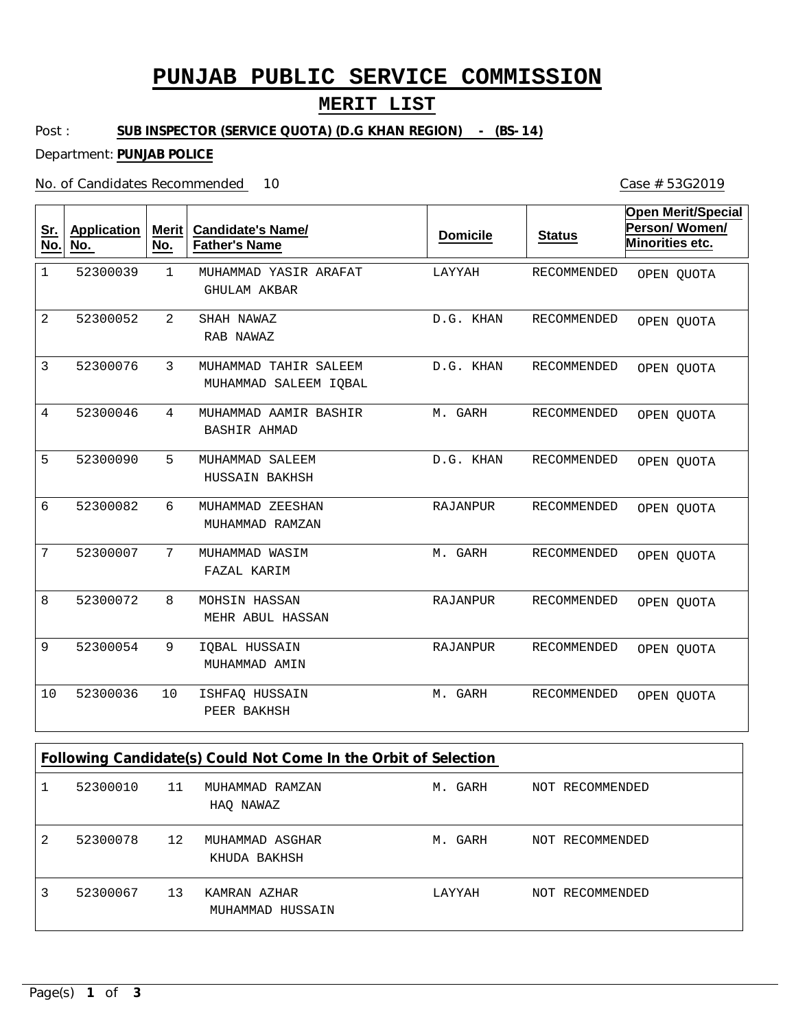# **PUNJAB PUBLIC SERVICE COMMISSION**

## **MERIT LIST**

Case # 53G2019

#### Post : **SUB INSPECTOR (SERVICE QUOTA) (D.G KHAN REGION) - (BS-14)**

### Department: **PUNJAB POLICE**

### No. of Candidates Recommended

| Sr.<br>No.                                                      | <b>Application</b><br><u>No.</u> | Merit<br>No.   | <b>Candidate's Name/</b><br><b>Father's Name</b> | <b>Domicile</b> | <b>Status</b>      | <b>Open Merit/Special</b><br>Person/Women/<br>Minorities etc. |  |  |  |
|-----------------------------------------------------------------|----------------------------------|----------------|--------------------------------------------------|-----------------|--------------------|---------------------------------------------------------------|--|--|--|
| $\mathbf{1}$                                                    | 52300039                         | $\mathbf{1}$   | MUHAMMAD YASIR ARAFAT<br><b>GHULAM AKBAR</b>     | LAYYAH          | RECOMMENDED        | OPEN QUOTA                                                    |  |  |  |
| 2                                                               | 52300052                         | $\overline{a}$ | SHAH NAWAZ<br>RAB NAWAZ                          | D.G. KHAN       | RECOMMENDED        | OPEN QUOTA                                                    |  |  |  |
| 3                                                               | 52300076                         | 3              | MUHAMMAD TAHIR SALEEM<br>MUHAMMAD SALEEM IQBAL   | D.G. KHAN       | RECOMMENDED        | OPEN OUOTA                                                    |  |  |  |
| 4                                                               | 52300046                         | 4              | MUHAMMAD AAMIR BASHIR<br>BASHIR AHMAD            | M. GARH         | RECOMMENDED        | OPEN QUOTA                                                    |  |  |  |
| 5                                                               | 52300090                         | 5              | MUHAMMAD SALEEM<br>HUSSAIN BAKHSH                | D.G. KHAN       | RECOMMENDED        | OPEN QUOTA                                                    |  |  |  |
| 6                                                               | 52300082                         | 6              | MUHAMMAD ZEESHAN<br>MUHAMMAD RAMZAN              | <b>RAJANPUR</b> | <b>RECOMMENDED</b> | OPEN QUOTA                                                    |  |  |  |
| 7                                                               | 52300007                         | 7              | MUHAMMAD WASIM<br>FAZAL KARIM                    | M. GARH         | RECOMMENDED        | OPEN QUOTA                                                    |  |  |  |
| 8                                                               | 52300072                         | 8              | MOHSIN HASSAN<br>MEHR ABUL HASSAN                | RAJANPUR        | RECOMMENDED        | OPEN QUOTA                                                    |  |  |  |
| 9                                                               | 52300054                         | 9              | IQBAL HUSSAIN<br>MUHAMMAD AMIN                   | <b>RAJANPUR</b> | RECOMMENDED        | OPEN QUOTA                                                    |  |  |  |
| 10                                                              | 52300036                         | 10             | ISHFAQ HUSSAIN<br>PEER BAKHSH                    | M. GARH         | RECOMMENDED        | OPEN QUOTA                                                    |  |  |  |
| Following Candidate(s) Could Not Come In the Orbit of Selection |                                  |                |                                                  |                 |                    |                                                               |  |  |  |
| $\mathbf{1}$                                                    | 52300010                         | 11             | MUHAMMAD RAMZAN<br>HAQ NAWAZ                     | M. GARH         | NOT RECOMMENDED    |                                                               |  |  |  |
| 2                                                               | 52300078                         | 12             | MUHAMMAD ASGHAR<br>KHUDA BAKHSH                  | M. GARH         | NOT RECOMMENDED    |                                                               |  |  |  |

LAYYAH NOT RECOMMENDED

Page(s) **1** of **3**

3

13 KAMRAN AZHAR 52300067

MUHAMMAD HUSSAIN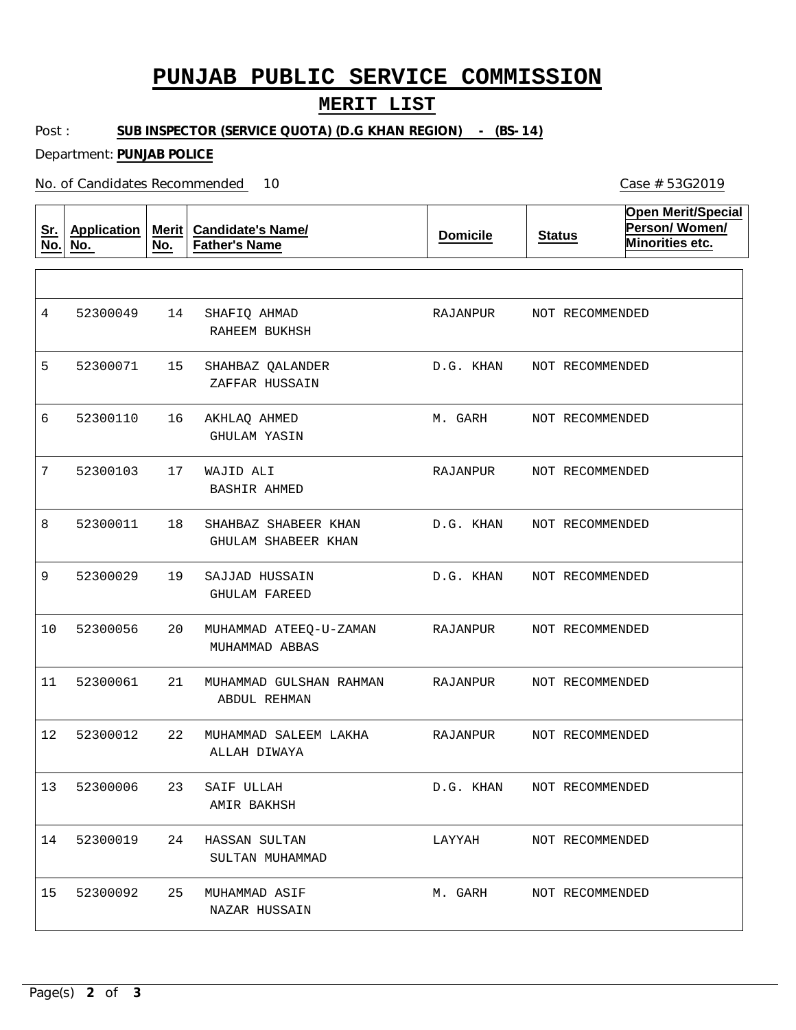# **PUNJAB PUBLIC SERVICE COMMISSION**

### **MERIT LIST**

Post : **SUB INSPECTOR (SERVICE QUOTA) (D.G KHAN REGION) - (BS-14)**

Department: **PUNJAB POLICE**

No. of Candidates Recommended

**Sr. No. Application No. Merit No. Candidate's Name/ Father's Name Domicile Status Open Merit/Special Person/ Women/ Minorities etc.** 14 15 16 17 18 19 20 21 22 23 24 HASSAN SULTAN 25 SHAFIQ AHMAD SHAHBAZ QALANDER AKHLAQ AHMED WAJID ALI SHAHBAZ SHABEER KHAN SAJJAD HUSSAIN MUHAMMAD ATEEQ-U-ZAMAN MUHAMMAD GULSHAN RAHMAN MUHAMMAD SALEEM LAKHA SAIF ULLAH MUHAMMAD ASIF RAHEEM BUKHSH ZAFFAR HUSSAIN GHULAM YASIN BASHIR AHMED GHULAM SHABEER KHAN GHULAM FAREED MUHAMMAD ABBAS ABDUL REHMAN ALLAH DIWAYA AMIR BAKHSH SULTAN MUHAMMAD NAZAR HUSSAIN 4 5 6 7 8 9 10 11 12 13 52300006 14 52300019 15 52300049 52300071 52300110 52300103 52300011 52300029 52300056 52300061 52300012 52300092 RAJANPUR D.G. KHAN M. GARH RAJANPUR D.G. KHAN D.G. KHAN RAJANPUR RAJANPUR RAJANPUR D.G. KHAN LAYYAH M. GARH NOT RECOMMENDED NOT RECOMMENDED NOT RECOMMENDED NOT RECOMMENDED NOT RECOMMENDED NOT RECOMMENDED NOT RECOMMENDED NOT RECOMMENDED NOT RECOMMENDED NOT RECOMMENDED NOT RECOMMENDED NOT RECOMMENDED

10 Case # 53G2019